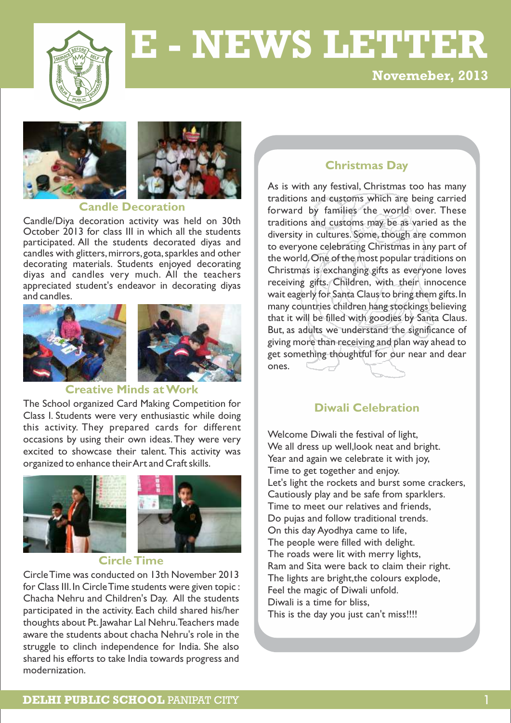

# **E - NEWS LETTER**

**Novemeber, 2013**





#### **Candle Decoration**

Candle/Diya decoration activity was held on 30th October 2013 for class III in which all the students participated. All the students decorated diyas and candles with glitters, mirrors, gota, sparkles and other decorating materials. Students enjoyed decorating diyas and candles very much. All the teachers appreciated student's endeavor in decorating diyas and candles.





#### **Creative Minds at Work**

The School organized Card Making Competition for Class I. Students were very enthusiastic while doing this activity. They prepared cards for different occasions by using their own ideas.They were very excited to showcase their talent. This activity was organized to enhance their Art and Craft skills.



## **Circle Time**

Circle Time was conducted on 13th November 2013 for Class III. In Circle Time students were given topic : Chacha Nehru and Children's Day. All the students participated in the activity. Each child shared his/her thoughts about Pt. Jawahar Lal Nehru. Teachers made aware the students about chacha Nehru's role in the struggle to clinch independence for India. She also shared his efforts to take India towards progress and modernization.

## **Christmas Day**

As is with any festival, Christmas too has many traditions and customs which are being carried forward by families the world over. These traditions and customs may be as varied as the diversity in cultures. Some, though are common to everyone celebrating Christmas in any part of the world.One of the most popular traditions on Christmas is exchanging gifts as everyone loves receiving gifts. Children, with their innocence wait eagerly for Santa Claus to bring them gifts.In many countries children hang stockings believing that it will be filled with goodies by Santa Claus. But, as adults we understand the significance of giving more than receiving and plan way ahead to get something thoughtful for our near and dear ones.

## **Diwali Celebration**

Welcome Diwali the festival of light, We all dress up well,look neat and bright. Year and again we celebrate it with joy, Time to get together and enjoy. Let's light the rockets and burst some crackers, Cautiously play and be safe from sparklers. Time to meet our relatives and friends, Do pujas and follow traditional trends. On this day Ayodhya came to life, The people were filled with delight. The roads were lit with merry lights, Ram and Sita were back to claim their right. The lights are bright,the colours explode, Feel the magic of Diwali unfold. Diwali is a time for bliss, This is the day you just can't miss!!!!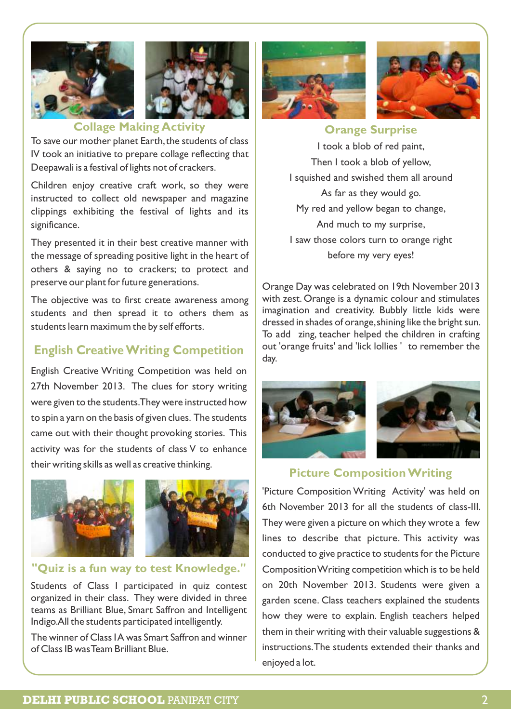



# **Collage Making Activity**

To save our mother planet Earth, the students of class IV took an initiative to prepare collage reflecting that Deepawali is a festival of lights not of crackers.

Children enjoy creative craft work, so they were instructed to collect old newspaper and magazine clippings exhibiting the festival of lights and its significance.

They presented it in their best creative manner with the message of spreading positive light in the heart of others & saying no to crackers; to protect and preserve our plant for future generations.

The objective was to first create awareness among students and then spread it to others them as students learn maximum the by self efforts.

# **English Creative Writing Competition**

English Creative Writing Competition was held on 27th November 2013. The clues for story writing were given to the students.They were instructed how to spin a yarn on the basis of given clues. The students came out with their thought provoking stories. This activity was for the students of class V to enhance their writing skills as well as creative thinking.



## **"Quiz is a fun way to test Knowledge."**

Students of Class I participated in quiz contest organized in their class. They were divided in three teams as Brilliant Blue, Smart Saffron and Intelligent Indigo.All the students participated intelligently.

The winner of Class I A was Smart Saffron and winner of Class IB was Team Brilliant Blue.





**Orange Surprise**

I took a blob of red paint, Then I took a blob of yellow, I squished and swished them all around As far as they would go. My red and yellow began to change, And much to my surprise, I saw those colors turn to orange right before my very eyes!

Orange Day was celebrated on 19th November 2013 with zest. Orange is a dynamic colour and stimulates imagination and creativity. Bubbly little kids were dressed in shades of orange,shining like the bright sun. To add zing, teacher helped the children in crafting out 'orange fruits' and 'lick lollies ' to remember the day.





# **Picture Composition Writing**

'Picture Composition Writing Activity' was held on 6th November 2013 for all the students of class-III. They were given a picture on which they wrote a few lines to describe that picture. This activity was conducted to give practice to students for the Picture Composition Writing competition which is to be held on 20th November 2013. Students were given a garden scene. Class teachers explained the students how they were to explain. English teachers helped them in their writing with their valuable suggestions & instructions.The students extended their thanks and enjoyed a lot.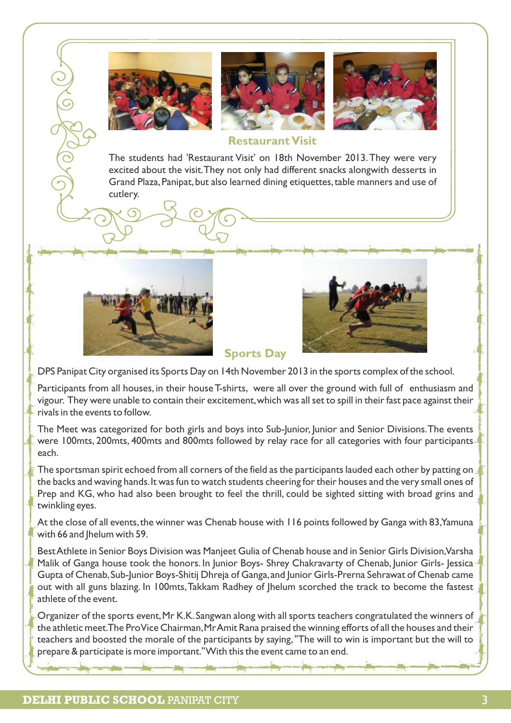





## **Restaurant Visit**

The students had 'Restaurant Visit' on 18th November 2013.They were very excited about the visit.They not only had different snacks alongwith desserts in Grand Plaza, Panipat, but also learned dining etiquettes, table manners and use of cutlery.





## **Sports Day**

DPS Panipat City organised its Sports Day on 14th November 2013 in the sports complex of the school.

Participants from all houses, in their house T-shirts, were all over the ground with full of enthusiasm and vigour. They were unable to contain their excitement,which was all set to spill in their fast pace against their rivals in the events to follow.

The Meet was categorized for both girls and boys into Sub-Junior, Junior and Senior Divisions.The events were 100mts, 200mts, 400mts and 800mts followed by relay race for all categories with four participants each.

The sportsman spirit echoed from all corners of the field as the participants lauded each other by patting on the backs and waving hands.It was fun to watch students cheering for their houses and the very small ones of Prep and KG, who had also been brought to feel the thrill, could be sighted sitting with broad grins and twinkling eyes.

At the close of all events, the winner was Chenab house with 116 points followed by Ganga with 83, Yamuna with 66 and Jhelum with 59.

Best Athlete in Senior Boys Division was Manjeet Gulia of Chenab house and in Senior Girls Division,Varsha Malik of Ganga house took the honors. In Junior Boys- Shrey Chakravarty of Chenab, Junior Girls- Jessica Gupta of Chenab,Sub-Junior Boys-Shitij Dhreja of Ganga,and Junior Girls-Prerna Sehrawat of Chenab came out with all guns blazing. In 100mts,Takkam Radhey of Jhelum scorched the track to become the fastest athlete of the event.

Organizer of the sports event,Mr K.K.Sangwan along with all sports teachers congratulated the winners of the athletic meet. The Pro Vice Chairman, Mr Amit Rana praised the winning efforts of all the houses and their teachers and boosted the morale of the participants by saying,"The will to win is important but the will to prepare & participate is more important." With this the event came to an end.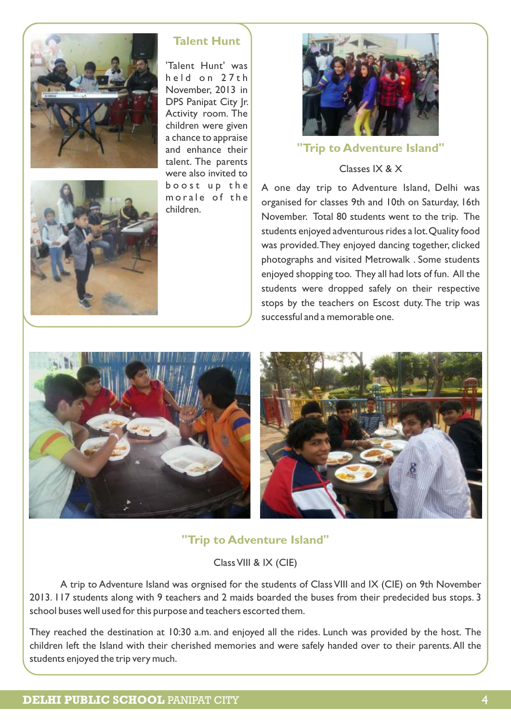



## **Talent Hunt**

'Talent Hunt' was held on 27th November, 2013 in DPS Panipat City |r. Activity room. The children were given a chance to appraise and enhance their talent. The parents were also invited to boost up the morale of the children.



## **"Trip to Adventure Island"**

Classes IX & X

A one day trip to Adventure Island, Delhi was organised for classes 9th and 10th on Saturday, 16th November. Total 80 students went to the trip. The students enjoyed adventurous rides a lot.Quality food was provided.They enjoyed dancing together, clicked photographs and visited Metrowalk . Some students enjoyed shopping too. They all had lots of fun. All the students were dropped safely on their respective stops by the teachers on Escost duty. The trip was successful and a memorable one.



**"Trip to Adventure Island"**

Class VIII & IX (CIE)

A trip to Adventure Island was orgnised for the students of Class VIII and IX (CIE) on 9th November 2013. 117 students along with 9 teachers and 2 maids boarded the buses from their predecided bus stops. 3 school buses well used for this purpose and teachers escorted them.

They reached the destination at 10:30 a.m. and enjoyed all the rides. Lunch was provided by the host. The children left the Island with their cherished memories and were safely handed over to their parents.All the students enjoyed the trip very much.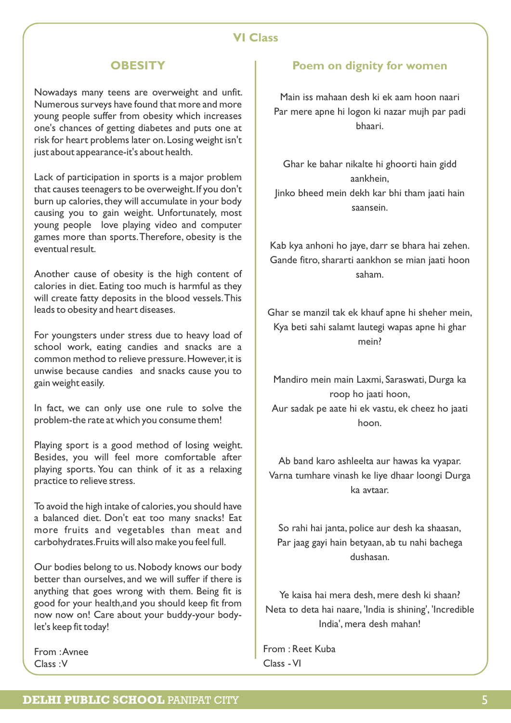## **VI Class**

## **OBESITY**

Nowadays many teens are overweight and unfit. Numerous surveys have found that more and more young people suffer from obesity which increases one's chances of getting diabetes and puts one at risk for heart problems later on.Losing weight isn't just about appearance-it's about health.

Lack of participation in sports is a major problem that causes teenagers to be overweight. If you don't burn up calories, they will accumulate in your body causing you to gain weight. Unfortunately, most young people love playing video and computer games more than sports.Therefore, obesity is the eventual result.

Another cause of obesity is the high content of calories in diet. Eating too much is harmful as they will create fatty deposits in the blood vessels.This leads to obesity and heart diseases.

For youngsters under stress due to heavy load of school work, eating candies and snacks are a common method to relieve pressure.However,it is unwise because candies and snacks cause you to gain weight easily.

In fact, we can only use one rule to solve the problem-the rate at which you consume them!

Playing sport is a good method of losing weight. Besides, you will feel more comfortable after playing sports. You can think of it as a relaxing practice to relieve stress.

To avoid the high intake of calories,you should have a balanced diet. Don't eat too many snacks! Eat more fruits and vegetables than meat and carbohydrates.Fruits will also make you feel full.

Our bodies belong to us.Nobody knows our body better than ourselves, and we will suffer if there is anything that goes wrong with them. Being fit is good for your health,and you should keep fit from now now on! Care about your buddy-your bodylet's keep fit today!

From :Avnee Class :V

## **Poem on dignity for women**

Main iss mahaan desh ki ek aam hoon naari Par mere apne hi logon ki nazar mujh par padi bhaari.

Ghar ke bahar nikalte hi ghoorti hain gidd aankhein, Jinko bheed mein dekh kar bhi tham jaati hain saansein.

Kab kya anhoni ho jaye, darr se bhara hai zehen. Gande fitro, shararti aankhon se mian jaati hoon saham.

Ghar se manzil tak ek khauf apne hi sheher mein, Kya beti sahi salamt lautegi wapas apne hi ghar mein?

Mandiro mein main Laxmi, Saraswati, Durga ka roop ho jaati hoon, Aur sadak pe aate hi ek vastu, ek cheez ho jaati hoon.

Ab band karo ashleelta aur hawas ka vyapar. Varna tumhare vinash ke liye dhaar loongi Durga ka avtaar.

So rahi hai janta, police aur desh ka shaasan, Par jaag gayi hain betyaan, ab tu nahi bachega dushasan.

Ye kaisa hai mera desh, mere desh ki shaan? Neta to deta hai naare, 'India is shining', 'Incredible India', mera desh mahan!

From : Reet Kuba Class - VI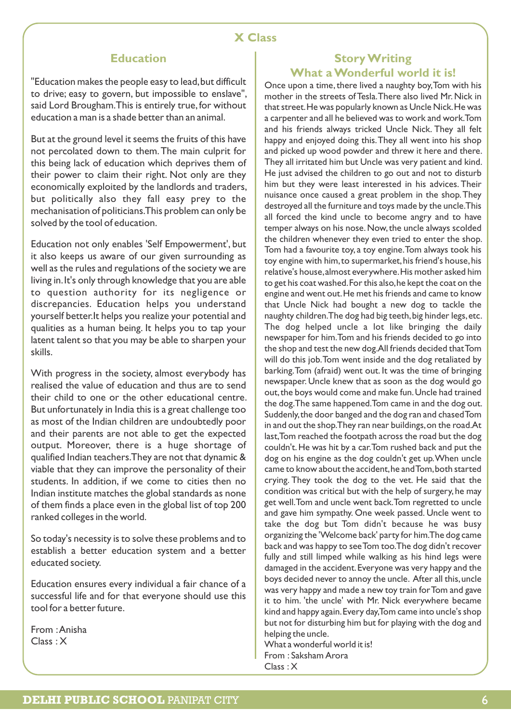## **Education**

"Education makes the people easy to lead,but difficult to drive; easy to govern, but impossible to enslave", said Lord Brougham. This is entirely true, for without education a man is a shade better than an animal.

But at the ground level it seems the fruits of this have not percolated down to them.The main culprit for this being lack of education which deprives them of their power to claim their right. Not only are they economically exploited by the landlords and traders, but politically also they fall easy prey to the mechanisation of politicians.This problem can only be solved by the tool of education.

Education not only enables 'Self Empowerment', but it also keeps us aware of our given surrounding as well as the rules and regulations of the society we are living in.It's only through knowledge that you are able to question authority for its negligence or discrepancies. Education helps you understand yourself better.It helps you realize your potential and qualities as a human being. It helps you to tap your latent talent so that you may be able to sharpen your skills.

With progress in the society, almost everybody has realised the value of education and thus are to send their child to one or the other educational centre. But unfortunately in India this is a great challenge too as most of the Indian children are undoubtedly poor and their parents are not able to get the expected output. Moreover, there is a huge shortage of qualified Indian teachers.They are not that dynamic & viable that they can improve the personality of their students. In addition, if we come to cities then no Indian institute matches the global standards as none of them finds a place even in the global list of top 200 ranked colleges in the world.

So today's necessity is to solve these problems and to establish a better education system and a better educated society.

Education ensures every individual a fair chance of a successful life and for that everyone should use this tool for a better future.

From :Anisha Class : X

#### **Story Writing What a Wonderful world it is!**

Once upon a time, there lived a naughty boy, Tom with his mother in the streets of Tesla.There also lived Mr. Nick in that street.He was popularly known as Uncle Nick.He was a carpenter and all he believed was to work and work.Tom and his friends always tricked Uncle Nick. They all felt happy and enjoyed doing this.They all went into his shop and picked up wood powder and threw it here and there. They all irritated him but Uncle was very patient and kind. He just advised the children to go out and not to disturb him but they were least interested in his advices. Their nuisance once caused a great problem in the shop.They destroyed all the furniture and toys made by the uncle.This all forced the kind uncle to become angry and to have temper always on his nose.Now,the uncle always scolded the children whenever they even tried to enter the shop. Tom had a favourite toy, a toy engine.Tom always took his toy engine with him, to supermarket, his friend's house, his relative's house,almost everywhere.His mother asked him to get his coat washed.For this also,he kept the coat on the engine and went out.He met his friends and came to know that Uncle Nick had bought a new dog to tackle the naughty children. The dog had big teeth, big hinder legs, etc. The dog helped uncle a lot like bringing the daily newspaper for him.Tom and his friends decided to go into the shop and test the new dog.All friends decided that Tom will do this job.Tom went inside and the dog retaliated by barking.Tom (afraid) went out. It was the time of bringing newspaper. Uncle knew that as soon as the dog would go out,the boys would come and make fun.Uncle had trained the dog.The same happened.Tom came in and the dog out. Suddenly,the door banged and the dog ran and chased Tom in and out the shop.They ran near buildings,on the road.At last,Tom reached the footpath across the road but the dog couldn't.He was hit by a car.Tom rushed back and put the dog on his engine as the dog couldn't get up.When uncle came to know about the accident,he and Tom,both started crying. They took the dog to the vet. He said that the condition was critical but with the help of surgery, he may get well.Tom and uncle went back.Tom regretted to uncle and gave him sympathy. One week passed. Uncle went to take the dog but Tom didn't because he was busy organizing the 'Welcome back' party for him.The dog came back and was happy to see Tom too.The dog didn't recover fully and still limped while walking as his hind legs were damaged in the accident. Everyone was very happy and the boys decided never to annoy the uncle. After all this, uncle was very happy and made a new toy train for Tom and gave it to him. 'the uncle' with Mr. Nick everywhere became kind and happy again.Every day,Tom came into uncle's shop but not for disturbing him but for playing with the dog and helping the uncle.

What a wonderful world it is! From : Saksham Arora Class : X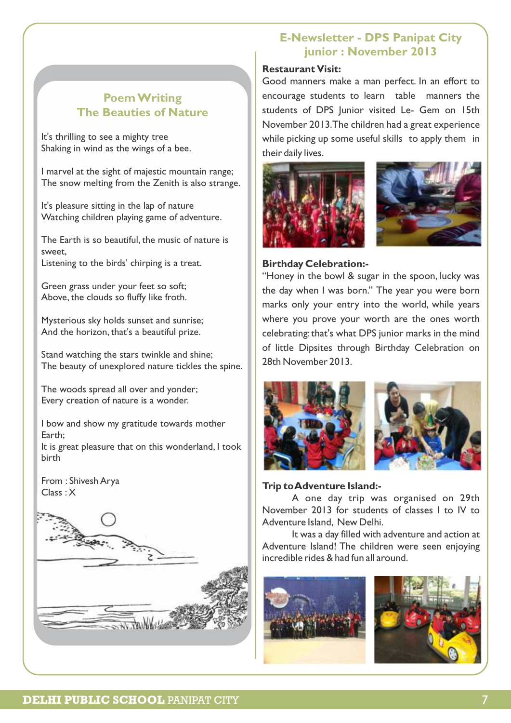## **Poem Writing The Beauties of Nature**

It's thrilling to see a mighty tree Shaking in wind as the wings of a bee.

I marvel at the sight of majestic mountain range; The snow melting from the Zenith is also strange.

It's pleasure sitting in the lap of nature Watching children playing game of adventure.

The Earth is so beautiful, the music of nature is sweet, Listening to the birds' chirping is a treat.

Green grass under your feet so soft; Above, the clouds so fluffy like froth.

Mysterious sky holds sunset and sunrise; And the horizon, that's a beautiful prize.

Stand watching the stars twinkle and shine; The beauty of unexplored nature tickles the spine.

The woods spread all over and yonder; Every creation of nature is a wonder.

I bow and show my gratitude towards mother Earth;

It is great pleasure that on this wonderland, I took birth

From : Shivesh Arya Class : X



# **E-Newsletter - DPS Panipat City junior : November 2013**

#### **Restaurant Visit:**

Good manners make a man perfect. In an effort to encourage students to learn table manners the students of DPS Junior visited Le- Gem on 15th November 2013.The children had a great experience while picking up some useful skills to apply them in their daily lives.





### **Birthday Celebration:-**

"Honey in the bowl & sugar in the spoon, lucky was the day when I was born." The year you were born marks only your entry into the world, while years where you prove your worth are the ones worth celebrating: that's what DPS junior marks in the mind of little Dipsites through Birthday Celebration on 28th November 2013.



### **Trip to Adventure Island:-**

A one day trip was organised on 29th November 2013 for students of classes I to IV to Adventure Island, New Delhi.

It was a day filled with adventure and action at Adventure Island! The children were seen enjoying incredible rides & had fun all around.



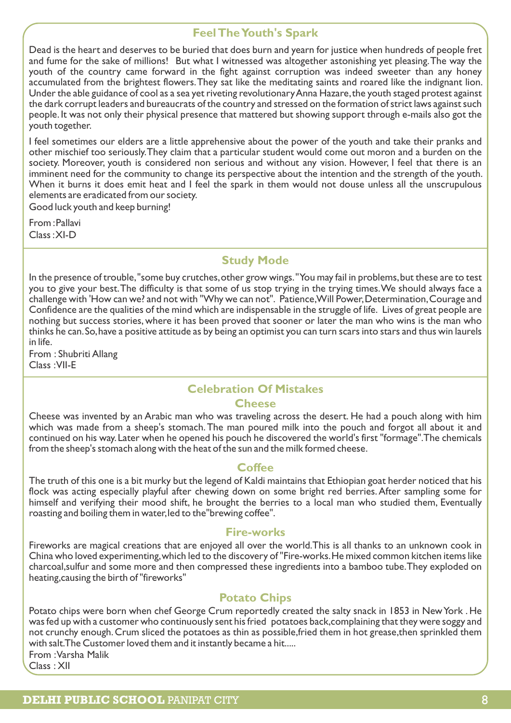## **Feel The Youth's Spark**

Dead is the heart and deserves to be buried that does burn and yearn for justice when hundreds of people fret and fume for the sake of millions! But what I witnessed was altogether astonishing yet pleasing.The way the youth of the country came forward in the fight against corruption was indeed sweeter than any honey accumulated from the brightest flowers.They sat like the meditating saints and roared like the indignant lion. Under the able guidance of cool as a sea yet riveting revolutionary Anna Hazare,the youth staged protest against the dark corrupt leaders and bureaucrats of the country and stressed on the formation of strict laws against such people. It was not only their physical presence that mattered but showing support through e-mails also got the youth together.

I feel sometimes our elders are a little apprehensive about the power of the youth and take their pranks and other mischief too seriously.They claim that a particular student would come out moron and a burden on the society. Moreover, youth is considered non serious and without any vision. However, I feel that there is an imminent need for the community to change its perspective about the intention and the strength of the youth. When it burns it does emit heat and I feel the spark in them would not douse unless all the unscrupulous elements are eradicated from our society.

Good luck youth and keep burning!

From :Pallavi Class :XI-D

## **Study Mode**

In the presence of trouble, "some buy crutches, other grow wings." You may fail in problems, but these are to test you to give your best.The difficulty is that some of us stop trying in the trying times.We should always face a challenge with 'How can we? and not with "Why we can not". Patience, Will Power, Determination, Courage and Confidence are the qualities of the mind which are indispensable in the struggle of life. Lives of great people are nothing but success stories, where it has been proved that sooner or later the man who wins is the man who thinks he can.So,have a positive attitude as by being an optimist you can turn scars into stars and thus win laurels in life.

From : Shubriti Allang Class :VII-E

# **Celebration Of Mistakes**

### **Cheese**

Cheese was invented by an Arabic man who was traveling across the desert. He had a pouch along with him which was made from a sheep's stomach. The man poured milk into the pouch and forgot all about it and continued on his way.Later when he opened his pouch he discovered the world's first "formage".The chemicals from the sheep's stomach along with the heat of the sun and the milk formed cheese.

### **Coffee**

The truth of this one is a bit murky but the legend of Kaldi maintains that Ethiopian goat herder noticed that his flock was acting especially playful after chewing down on some bright red berries.After sampling some for himself and verifying their mood shift, he brought the berries to a local man who studied them, Eventually roasting and boiling them in water,led to the"brewing coffee".

### **Fire-works**

Fireworks are magical creations that are enjoyed all over the world.This is all thanks to an unknown cook in China who loved experimenting,which led to the discovery of "Fire-works.He mixed common kitchen items like charcoal,sulfur and some more and then compressed these ingredients into a bamboo tube.They exploded on heating,causing the birth of "fireworks"

## **Potato Chips**

Potato chips were born when chef George Crum reportedly created the salty snack in 1853 in New York . He was fed up with a customer who continuously sent his fried potatoes back,complaining that they were soggy and not crunchy enough.Crum sliced the potatoes as thin as possible,fried them in hot grease,then sprinkled them with salt.The Customer loved them and it instantly became a hit..... From :Varsha Malik

Class : XII